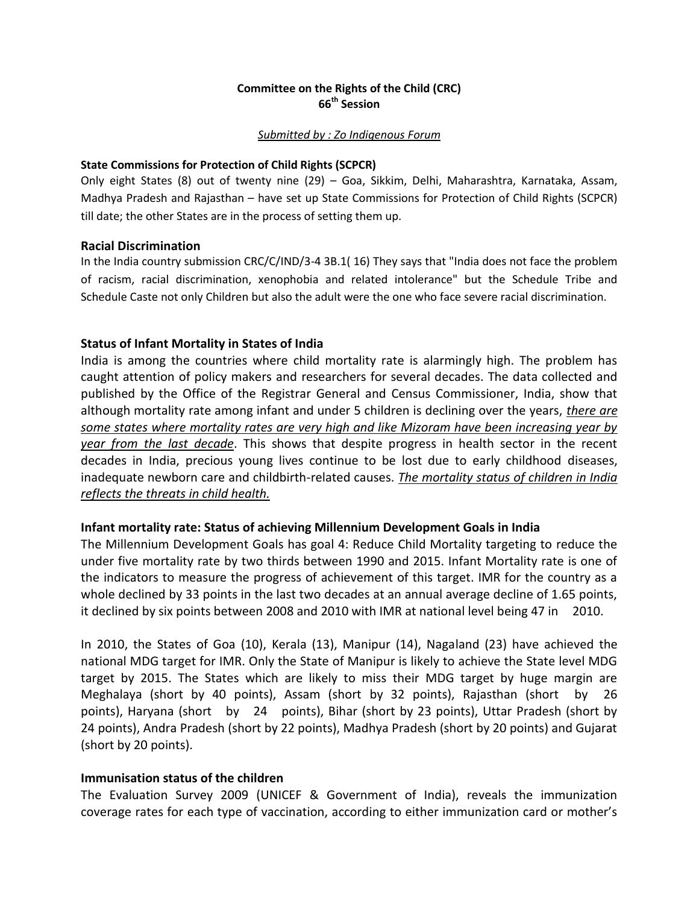## **Committee on the Rights of the Child (CRC) 66th Session**

#### *Submitted by : Zo Indigenous Forum*

### **State Commissions for Protection of Child Rights (SCPCR)**

Only eight States (8) out of twenty nine (29) – Goa, Sikkim, Delhi, Maharashtra, Karnataka, Assam, Madhya Pradesh and Rajasthan – have set up State Commissions for Protection of Child Rights (SCPCR) till date; the other States are in the process of setting them up.

### **Racial Discrimination**

In the India country submission CRC/C/IND/3-4 3B.1( 16) They says that "India does not face the problem of racism, racial discrimination, xenophobia and related intolerance" but the Schedule Tribe and Schedule Caste not only Children but also the adult were the one who face severe racial discrimination.

## **Status of Infant Mortality in States of India**

India is among the countries where child mortality rate is alarmingly high. The problem has caught attention of policy makers and researchers for several decades. The data collected and published by the Office of the Registrar General and Census Commissioner, India, show that although mortality rate among infant and under 5 children is declining over the years, *there are some states where mortality rates are very high and like Mizoram have been increasing year by year from the last decade*. This shows that despite progress in health sector in the recent decades in India, precious young lives continue to be lost due to early childhood diseases, inadequate newborn care and childbirth-related causes. *The mortality status of children in India reflects the threats in child health.*

## **Infant mortality rate: Status of achieving Millennium Development Goals in India**

The Millennium Development Goals has goal 4: Reduce Child Mortality targeting to reduce the under five mortality rate by two thirds between 1990 and 2015. Infant Mortality rate is one of the indicators to measure the progress of achievement of this target. IMR for the country as a whole declined by 33 points in the last two decades at an annual average decline of 1.65 points, it declined by six points between 2008 and 2010 with IMR at national level being 47 in 2010.

In 2010, the States of Goa (10), Kerala (13), Manipur (14), Nagaland (23) have achieved the national MDG target for IMR. Only the State of Manipur is likely to achieve the State level MDG target by 2015. The States which are likely to miss their MDG target by huge margin are Meghalaya (short by 40 points), Assam (short by 32 points), Rajasthan (short by 26 points), Haryana (short by 24 points), Bihar (short by 23 points), Uttar Pradesh (short by 24 points), Andra Pradesh (short by 22 points), Madhya Pradesh (short by 20 points) and Gujarat (short by 20 points).

## **Immunisation status of the children**

The Evaluation Survey 2009 (UNICEF & Government of India), reveals the immunization coverage rates for each type of vaccination, according to either immunization card or mother's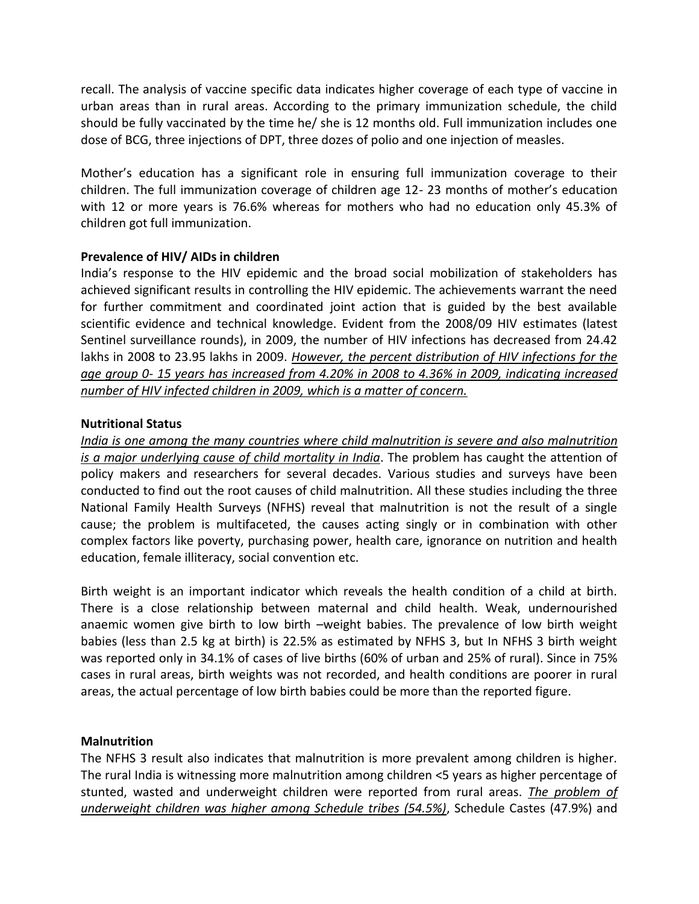recall. The analysis of vaccine specific data indicates higher coverage of each type of vaccine in urban areas than in rural areas. According to the primary immunization schedule, the child should be fully vaccinated by the time he/ she is 12 months old. Full immunization includes one dose of BCG, three injections of DPT, three dozes of polio and one injection of measles.

Mother's education has a significant role in ensuring full immunization coverage to their children. The full immunization coverage of children age 12- 23 months of mother's education with 12 or more years is 76.6% whereas for mothers who had no education only 45.3% of children got full immunization.

# **Prevalence of HIV/ AIDs in children**

India's response to the HIV epidemic and the broad social mobilization of stakeholders has achieved significant results in controlling the HIV epidemic. The achievements warrant the need for further commitment and coordinated joint action that is guided by the best available scientific evidence and technical knowledge. Evident from the 2008/09 HIV estimates (latest Sentinel surveillance rounds), in 2009, the number of HIV infections has decreased from 24.42 lakhs in 2008 to 23.95 lakhs in 2009. *However, the percent distribution of HIV infections for the age group 0- 15 years has increased from 4.20% in 2008 to 4.36% in 2009, indicating increased number of HIV infected children in 2009, which is a matter of concern.*

## **Nutritional Status**

*India is one among the many countries where child malnutrition is severe and also malnutrition is a major underlying cause of child mortality in India*. The problem has caught the attention of policy makers and researchers for several decades. Various studies and surveys have been conducted to find out the root causes of child malnutrition. All these studies including the three National Family Health Surveys (NFHS) reveal that malnutrition is not the result of a single cause; the problem is multifaceted, the causes acting singly or in combination with other complex factors like poverty, purchasing power, health care, ignorance on nutrition and health education, female illiteracy, social convention etc.

Birth weight is an important indicator which reveals the health condition of a child at birth. There is a close relationship between maternal and child health. Weak, undernourished anaemic women give birth to low birth –weight babies. The prevalence of low birth weight babies (less than 2.5 kg at birth) is 22.5% as estimated by NFHS 3, but In NFHS 3 birth weight was reported only in 34.1% of cases of live births (60% of urban and 25% of rural). Since in 75% cases in rural areas, birth weights was not recorded, and health conditions are poorer in rural areas, the actual percentage of low birth babies could be more than the reported figure.

## **Malnutrition**

The NFHS 3 result also indicates that malnutrition is more prevalent among children is higher. The rural India is witnessing more malnutrition among children <5 years as higher percentage of stunted, wasted and underweight children were reported from rural areas. *The problem of underweight children was higher among Schedule tribes (54.5%)*, Schedule Castes (47.9%) and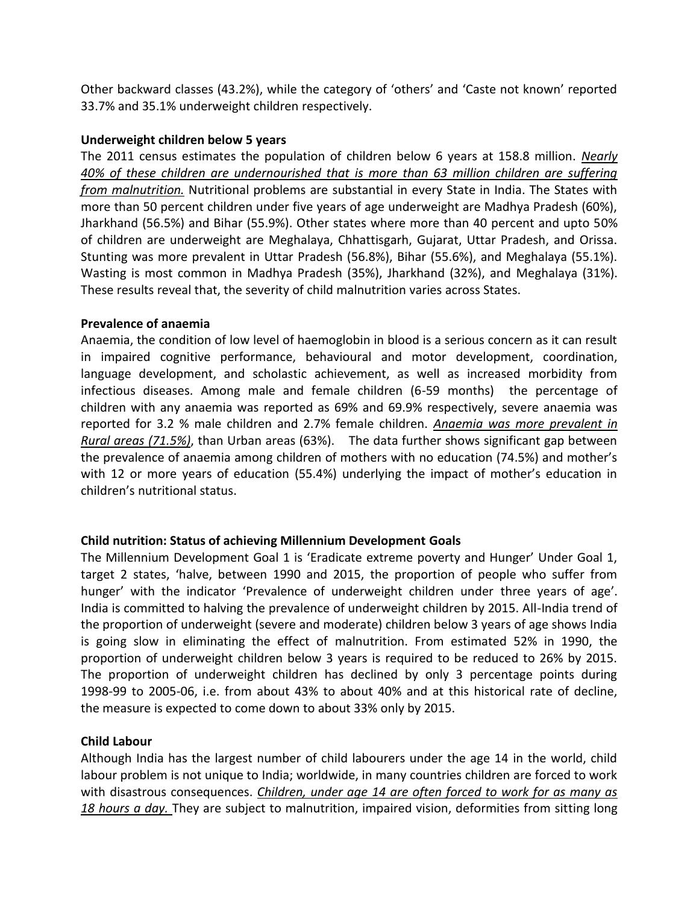Other backward classes (43.2%), while the category of 'others' and 'Caste not known' reported 33.7% and 35.1% underweight children respectively.

## **Underweight children below 5 years**

The 2011 census estimates the population of children below 6 years at 158.8 million. *Nearly 40% of these children are undernourished that is more than 63 million children are suffering from malnutrition.* Nutritional problems are substantial in every State in India. The States with more than 50 percent children under five years of age underweight are Madhya Pradesh (60%), Jharkhand (56.5%) and Bihar (55.9%). Other states where more than 40 percent and upto 50% of children are underweight are Meghalaya, Chhattisgarh, Gujarat, Uttar Pradesh, and Orissa. Stunting was more prevalent in Uttar Pradesh (56.8%), Bihar (55.6%), and Meghalaya (55.1%). Wasting is most common in Madhya Pradesh (35%), Jharkhand (32%), and Meghalaya (31%). These results reveal that, the severity of child malnutrition varies across States.

## **Prevalence of anaemia**

Anaemia, the condition of low level of haemoglobin in blood is a serious concern as it can result in impaired cognitive performance, behavioural and motor development, coordination, language development, and scholastic achievement, as well as increased morbidity from infectious diseases. Among male and female children (6-59 months) the percentage of children with any anaemia was reported as 69% and 69.9% respectively, severe anaemia was reported for 3.2 % male children and 2.7% female children. *Anaemia was more prevalent in Rural areas (71.5%)*, than Urban areas (63%). The data further shows significant gap between the prevalence of anaemia among children of mothers with no education (74.5%) and mother's with 12 or more years of education (55.4%) underlying the impact of mother's education in children's nutritional status.

# **Child nutrition: Status of achieving Millennium Development Goals**

The Millennium Development Goal 1 is 'Eradicate extreme poverty and Hunger' Under Goal 1, target 2 states, 'halve, between 1990 and 2015, the proportion of people who suffer from hunger' with the indicator 'Prevalence of underweight children under three years of age'. India is committed to halving the prevalence of underweight children by 2015. All-India trend of the proportion of underweight (severe and moderate) children below 3 years of age shows India is going slow in eliminating the effect of malnutrition. From estimated 52% in 1990, the proportion of underweight children below 3 years is required to be reduced to 26% by 2015. The proportion of underweight children has declined by only 3 percentage points during 1998-99 to 2005-06, i.e. from about 43% to about 40% and at this historical rate of decline, the measure is expected to come down to about 33% only by 2015.

# **Child Labour**

Although India has the largest number of child labourers under the age 14 in the world, child labour problem is not unique to India; worldwide, in many countries children are forced to work with disastrous consequences. *Children, under age 14 are often forced to work for as many as 18 hours a day.* They are subject to malnutrition, impaired vision, deformities from sitting long